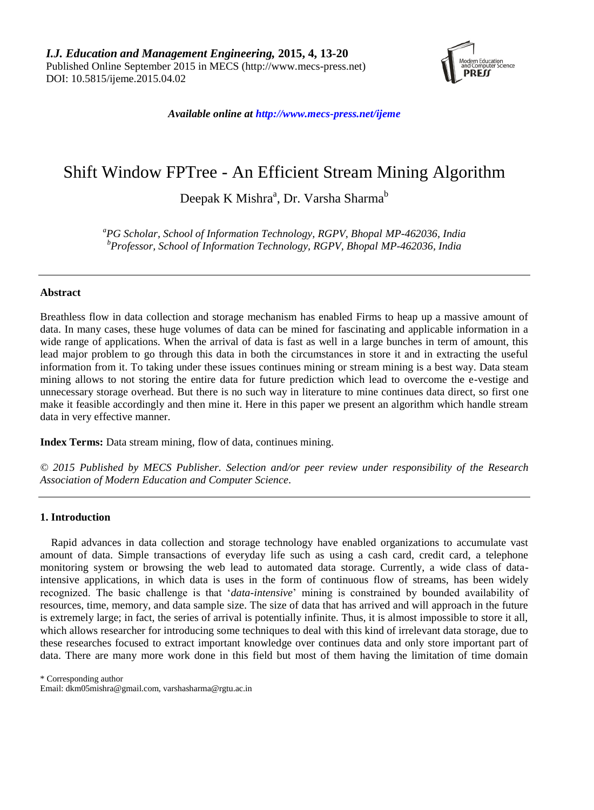

*Available online at http://www.mecs-press.net/ijeme*

# Shift Window FPTree - An Efficient Stream Mining Algorithm

Deepak K Mishra<sup>a</sup>, Dr. Varsha Sharma<sup>b</sup>

*<sup>a</sup>PG Scholar, School of Information Technology, RGPV, Bhopal MP-462036, India <sup>b</sup>Professor, School of Information Technology, RGPV, Bhopal MP-462036, India*

## **Abstract**

Breathless flow in data collection and storage mechanism has enabled Firms to heap up a massive amount of data. In many cases, these huge volumes of data can be mined for fascinating and applicable information in a wide range of applications. When the arrival of data is fast as well in a large bunches in term of amount, this lead major problem to go through this data in both the circumstances in store it and in extracting the useful information from it. To taking under these issues continues mining or stream mining is a best way. Data steam mining allows to not storing the entire data for future prediction which lead to overcome the e-vestige and unnecessary storage overhead. But there is no such way in literature to mine continues data direct, so first one make it feasible accordingly and then mine it. Here in this paper we present an algorithm which handle stream data in very effective manner.

**Index Terms:** Data stream mining, flow of data, continues mining.

*© 2015 Published by MECS Publisher. Selection and/or peer review under responsibility of the Research Association of Modern Education and Computer Science.*

## **1. Introduction**

Rapid advances in data collection and storage technology have enabled organizations to accumulate vast amount of data. Simple transactions of everyday life such as using a cash card, credit card, a telephone monitoring system or browsing the web lead to automated data storage. Currently, a wide class of dataintensive applications, in which data is uses in the form of continuous flow of streams, has been widely recognized. The basic challenge is that "*data-intensive*" mining is constrained by bounded availability of resources, time, memory, and data sample size. The size of data that has arrived and will approach in the future is extremely large; in fact, the series of arrival is potentially infinite. Thus, it is almost impossible to store it all, which allows researcher for introducing some techniques to deal with this kind of irrelevant data storage, due to these researches focused to extract important knowledge over continues data and only store important part of data. There are many more work done in this field but most of them having the limitation of time domain

\* Corresponding author

Email: dkm05mishra@gmail.com, varshasharma@rgtu.ac.in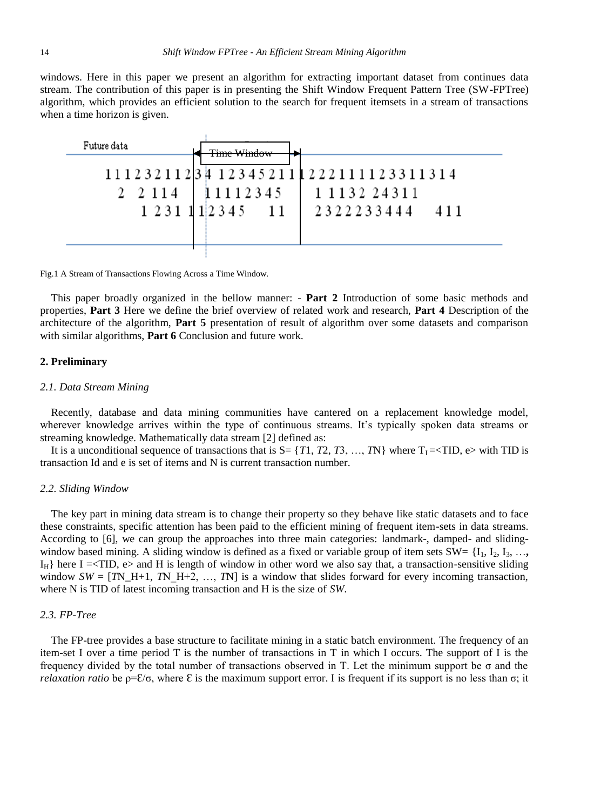windows. Here in this paper we present an algorithm for extracting important dataset from continues data stream. The contribution of this paper is in presenting the Shift Window Frequent Pattern Tree (SW-FPTree) algorithm, which provides an efficient solution to the search for frequent itemsets in a stream of transactions when a time horizon is given.



Fig.1 A Stream of Transactions Flowing Across a Time Window.

This paper broadly organized in the bellow manner: - **Part 2** Introduction of some basic methods and properties, **Part 3** Here we define the brief overview of related work and research, **Part 4** Description of the architecture of the algorithm, **Part 5** presentation of result of algorithm over some datasets and comparison with similar algorithms, **Part 6** Conclusion and future work.

#### **2. Preliminary**

#### *2.1. Data Stream Mining*

Recently, database and data mining communities have cantered on a replacement knowledge model, wherever knowledge arrives within the type of continuous streams. It's typically spoken data streams or streaming knowledge. Mathematically data stream [2] defined as:

It is a unconditional sequence of transactions that is  $S = \{T1, T2, T3, \ldots, TN\}$  where  $T_1 = \langle TID, e \rangle$  with TID is transaction Id and e is set of items and N is current transaction number.

### *2.2. Sliding Window*

The key part in mining data stream is to change their property so they behave like static datasets and to face these constraints, specific attention has been paid to the efficient mining of frequent item-sets in data streams. According to [6], we can group the approaches into three main categories: landmark-, damped- and slidingwindow based mining. A sliding window is defined as a fixed or variable group of item sets  $SW = \{I_1, I_2, I_3, \ldots\}$  $I_H$  here I =<TID, e> and H is length of window in other word we also say that, a transaction-sensitive sliding window  $SW = [TN_H+1, TN_H+2, ..., TN]$  is a window that slides forward for every incoming transaction, where N is TID of latest incoming transaction and H is the size of *SW*.

#### *2.3. FP-Tree*

The FP-tree provides a base structure to facilitate mining in a static batch environment. The frequency of an item-set I over a time period T is the number of transactions in T in which I occurs. The support of I is the frequency divided by the total number of transactions observed in T. Let the minimum support be σ and the *relaxation ratio* be  $p=\mathcal{E}/\sigma$ , where  $\mathcal E$  is the maximum support error. I is frequent if its support is no less than  $\sigma$ ; it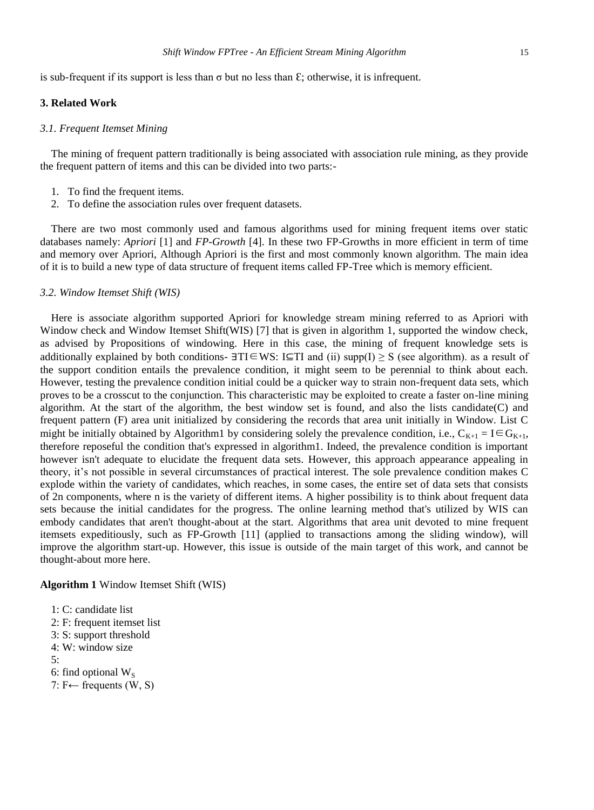is sub-frequent if its support is less than  $\sigma$  but no less than  $\epsilon$ ; otherwise, it is infrequent.

#### **3. Related Work**

#### *3.1. Frequent Itemset Mining*

The mining of frequent pattern traditionally is being associated with association rule mining, as they provide the frequent pattern of items and this can be divided into two parts:-

- 1. To find the frequent items.
- 2. To define the association rules over frequent datasets.

There are two most commonly used and famous algorithms used for mining frequent items over static databases namely: *Apriori* [1] and *FP-Growth* [4]. In these two FP-Growths in more efficient in term of time and memory over Apriori, Although Apriori is the first and most commonly known algorithm. The main idea of it is to build a new type of data structure of frequent items called FP-Tree which is memory efficient.

### *3.2. Window Itemset Shift (WIS)*

Here is associate algorithm supported Apriori for knowledge stream mining referred to as Apriori with Window check and Window Itemset Shift(WIS) [7] that is given in algorithm 1, supported the window check, as advised by Propositions of windowing. Here in this case, the mining of frequent knowledge sets is additionally explained by both conditions-  $\exists TI \in WS: I \subseteq TI$  and (ii) supp(I)  $\geq S$  (see algorithm). as a result of the support condition entails the prevalence condition, it might seem to be perennial to think about each. However, testing the prevalence condition initial could be a quicker way to strain non-frequent data sets, which proves to be a crosscut to the conjunction. This characteristic may be exploited to create a faster on-line mining algorithm. At the start of the algorithm, the best window set is found, and also the lists candidate(C) and frequent pattern (F) area unit initialized by considering the records that area unit initially in Window. List C might be initially obtained by Algorithm1 by considering solely the prevalence condition, i.e.,  $C_{K+1} = I \in G_{K+1}$ , therefore reposeful the condition that's expressed in algorithm1. Indeed, the prevalence condition is important however isn't adequate to elucidate the frequent data sets. However, this approach appearance appealing in theory, it"s not possible in several circumstances of practical interest. The sole prevalence condition makes C explode within the variety of candidates, which reaches, in some cases, the entire set of data sets that consists of 2n components, where n is the variety of different items. A higher possibility is to think about frequent data sets because the initial candidates for the progress. The online learning method that's utilized by WIS can embody candidates that aren't thought-about at the start. Algorithms that area unit devoted to mine frequent itemsets expeditiously, such as FP-Growth [11] (applied to transactions among the sliding window), will improve the algorithm start-up. However, this issue is outside of the main target of this work, and cannot be thought-about more here.

**Algorithm 1** Window Itemset Shift (WIS)

- 1: C: candidate list
- 2: F: frequent itemset list
- 3: S: support threshold
- 4: W: window size
- 5:
- 6: find optional  $W_s$
- 7: F← frequents (W, S)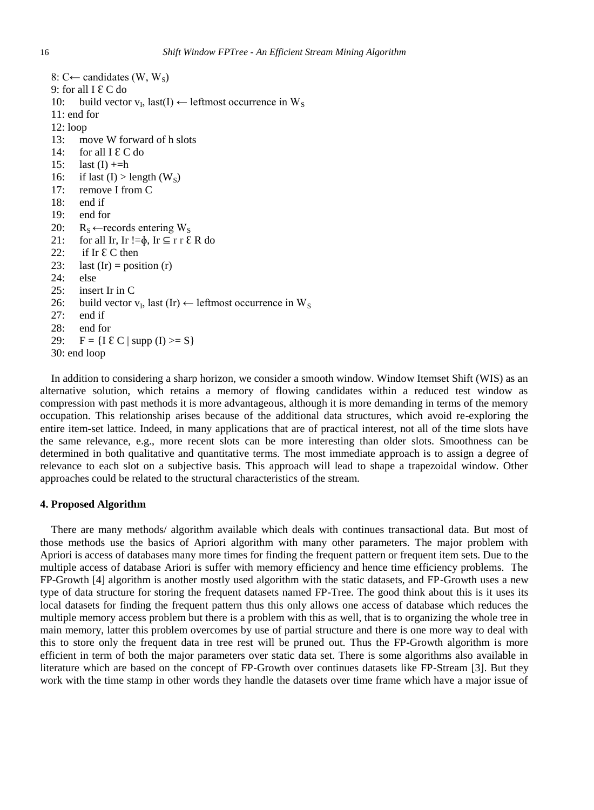8: C← candidates (W, W<sub>s</sub>) 9: for all  $I \& C$  do 10: build vector  $v_I$ , last(I)  $\leftarrow$  leftmost occurrence in W<sub>S</sub> 11: end for 12: loop 13: move W forward of h slots 14: for all  $I \& C$  do 15: last  $(I)$  +=h 16: if last  $(I) >$  length  $(W_s)$ 17: remove I from C 18: end if 19: end for 20:  $R_S \leftarrow$  records entering W<sub>S</sub> 21: for all Ir, Ir != $\phi$ , Ir  $\subseteq$  r r  $\&$  R do 22: if Ir  $\mathcal{E}$  C then 23: last  $(Ir)$  = position  $(r)$ 24: else 25: insert Ir in C 26: build vector  $v_I$ , last (Ir)  $\leftarrow$  leftmost occurrence in W<sub>S</sub> 27: end if 28: end for 29:  $F = \{I \& C \mid \text{supp } (I) \geq S\}$ 30: end loop

In addition to considering a sharp horizon, we consider a smooth window. Window Itemset Shift (WIS) as an alternative solution, which retains a memory of flowing candidates within a reduced test window as compression with past methods it is more advantageous, although it is more demanding in terms of the memory occupation. This relationship arises because of the additional data structures, which avoid re-exploring the entire item-set lattice. Indeed, in many applications that are of practical interest, not all of the time slots have the same relevance, e.g., more recent slots can be more interesting than older slots. Smoothness can be determined in both qualitative and quantitative terms. The most immediate approach is to assign a degree of relevance to each slot on a subjective basis. This approach will lead to shape a trapezoidal window. Other approaches could be related to the structural characteristics of the stream.

#### **4. Proposed Algorithm**

There are many methods/ algorithm available which deals with continues transactional data. But most of those methods use the basics of Apriori algorithm with many other parameters. The major problem with Apriori is access of databases many more times for finding the frequent pattern or frequent item sets. Due to the multiple access of database Ariori is suffer with memory efficiency and hence time efficiency problems. The FP-Growth [4] algorithm is another mostly used algorithm with the static datasets, and FP-Growth uses a new type of data structure for storing the frequent datasets named FP-Tree. The good think about this is it uses its local datasets for finding the frequent pattern thus this only allows one access of database which reduces the multiple memory access problem but there is a problem with this as well, that is to organizing the whole tree in main memory, latter this problem overcomes by use of partial structure and there is one more way to deal with this to store only the frequent data in tree rest will be pruned out. Thus the FP-Growth algorithm is more efficient in term of both the major parameters over static data set. There is some algorithms also available in literature which are based on the concept of FP-Growth over continues datasets like FP-Stream [3]. But they work with the time stamp in other words they handle the datasets over time frame which have a major issue of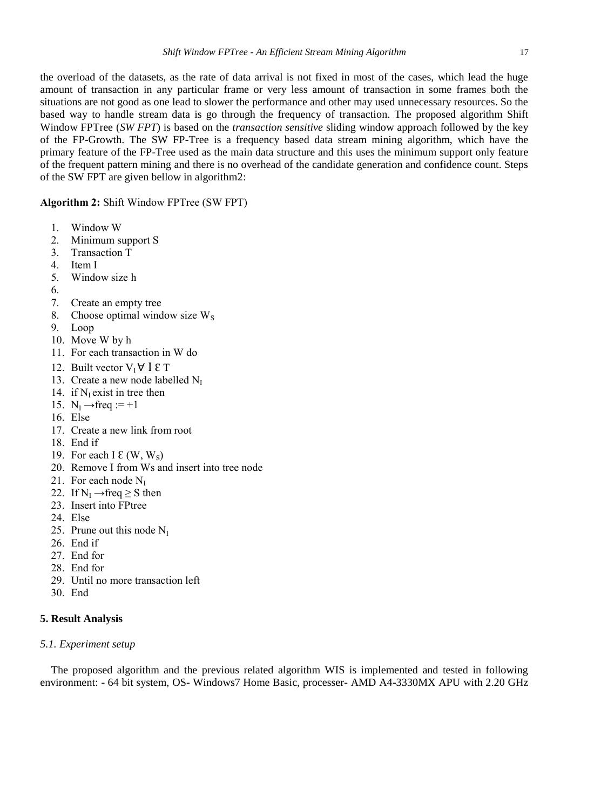the overload of the datasets, as the rate of data arrival is not fixed in most of the cases, which lead the huge amount of transaction in any particular frame or very less amount of transaction in some frames both the situations are not good as one lead to slower the performance and other may used unnecessary resources. So the based way to handle stream data is go through the frequency of transaction. The proposed algorithm Shift Window FPTree (*SW FPT*) is based on the *transaction sensitive* sliding window approach followed by the key of the FP-Growth. The SW FP-Tree is a frequency based data stream mining algorithm, which have the primary feature of the FP-Tree used as the main data structure and this uses the minimum support only feature of the frequent pattern mining and there is no overhead of the candidate generation and confidence count. Steps of the SW FPT are given bellow in algorithm2:

## **Algorithm 2:** Shift Window FPTree (SW FPT)

- 1. Window W
- 2. Minimum support S
- 3. Transaction T
- 4. Item I
- 5. Window size h
- 6.
- 7. Create an empty tree
- 8. Choose optimal window size  $W<sub>S</sub>$
- 9. Loop
- 10. Move W by h
- 11. For each transaction in W do
- 12. Built vector  $V_I \forall I \in T$
- 13. Create a new node labelled  $N_I$
- 14. if  $N<sub>I</sub>$  exist in tree then
- 15.  $N_I \rightarrow freq := +1$
- 16. Else
- 17. Create a new link from root
- 18. End if
- 19. For each I  $\mathcal{E}(W, W_S)$
- 20. Remove I from Ws and insert into tree node
- 21. For each node  $N<sub>I</sub>$
- 22. If  $N_I \rightarrow freq \geq S$  then
- 23. Insert into FPtree
- 24. Else
- 25. Prune out this node  $N_I$
- 26. End if
- 27. End for
- 28. End for
- 29. Until no more transaction left
- 30. End

## **5. Result Analysis**

## *5.1. Experiment setup*

The proposed algorithm and the previous related algorithm WIS is implemented and tested in following environment: - 64 bit system, OS- Windows7 Home Basic, processer- AMD A4-3330MX APU with 2.20 GHz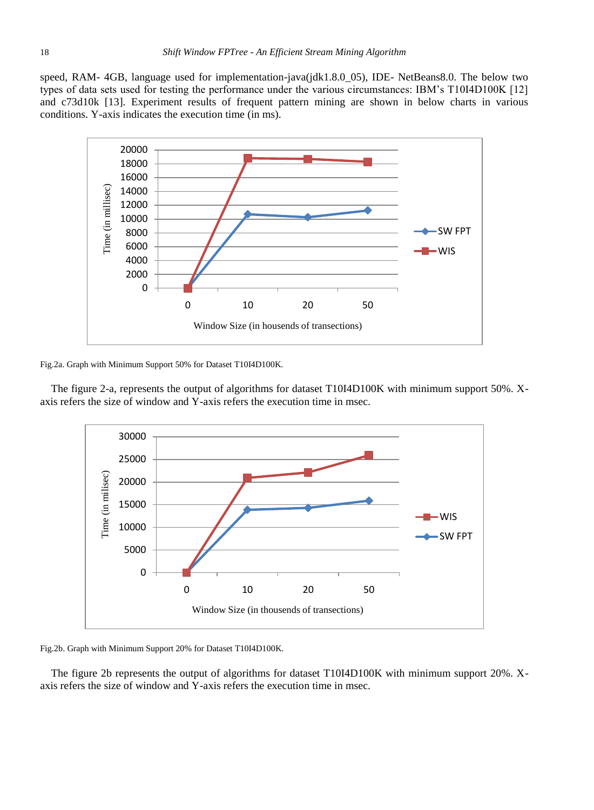speed, RAM- 4GB, language used for implementation-java(jdk1.8.0\_05), IDE- NetBeans8.0. The below two types of data sets used for testing the performance under the various circumstances: IBM"s T10I4D100K [12] and c73d10k [13]. Experiment results of frequent pattern mining are shown in below charts in various conditions. Y-axis indicates the execution time (in ms).



Fig.2a. Graph with Minimum Support 50% for Dataset T10I4D100K.

The figure 2-a, represents the output of algorithms for dataset T10I4D100K with minimum support 50%. Xaxis refers the size of window and Y-axis refers the execution time in msec.



Fig.2b. Graph with Minimum Support 20% for Dataset T10I4D100K.

The figure 2b represents the output of algorithms for dataset T10I4D100K with minimum support 20%. Xaxis refers the size of window and Y-axis refers the execution time in msec.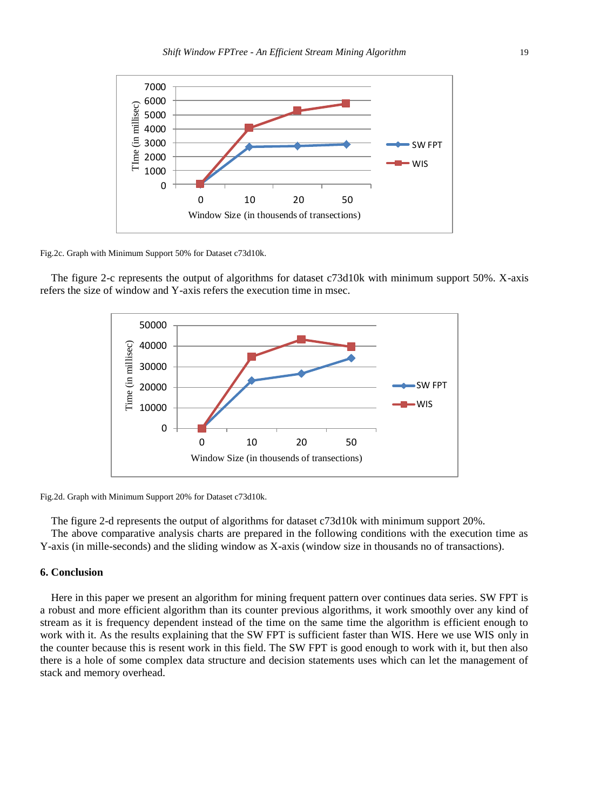

Fig.2c. Graph with Minimum Support 50% for Dataset c73d10k.

The figure 2-c represents the output of algorithms for dataset c73d10k with minimum support 50%. X-axis refers the size of window and Y-axis refers the execution time in msec.



Fig.2d. Graph with Minimum Support 20% for Dataset c73d10k.

The figure 2-d represents the output of algorithms for dataset c73d10k with minimum support 20%. The above comparative analysis charts are prepared in the following conditions with the execution time as Y-axis (in mille-seconds) and the sliding window as X-axis (window size in thousands no of transactions).

#### **6. Conclusion**

Here in this paper we present an algorithm for mining frequent pattern over continues data series. SW FPT is a robust and more efficient algorithm than its counter previous algorithms, it work smoothly over any kind of stream as it is frequency dependent instead of the time on the same time the algorithm is efficient enough to work with it. As the results explaining that the SW FPT is sufficient faster than WIS. Here we use WIS only in the counter because this is resent work in this field. The SW FPT is good enough to work with it, but then also there is a hole of some complex data structure and decision statements uses which can let the management of stack and memory overhead.